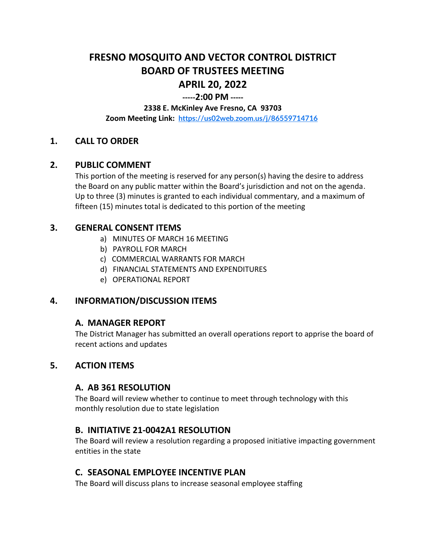# **FRESNO MOSQUITO AND VECTOR CONTROL DISTRICT BOARD OF TRUSTEES MEETING APRIL 20, 2022**

## **-----2:00 PM -----**

#### **2338 E. McKinley Ave Fresno, CA 93703**

**Zoom Meeting Link: <https://us02web.zoom.us/j/86559714716>**

### **1. CALL TO ORDER**

#### **2. PUBLIC COMMENT**

This portion of the meeting is reserved for any person(s) having the desire to address the Board on any public matter within the Board's jurisdiction and not on the agenda. Up to three (3) minutes is granted to each individual commentary, and a maximum of fifteen (15) minutes total is dedicated to this portion of the meeting

#### **3. GENERAL CONSENT ITEMS**

- a) MINUTES OF MARCH 16 MEETING
- b) PAYROLL FOR MARCH
- c) COMMERCIAL WARRANTS FOR MARCH
- d) FINANCIAL STATEMENTS AND EXPENDITURES
- e) OPERATIONAL REPORT

## **4. INFORMATION/DISCUSSION ITEMS**

#### **A. MANAGER REPORT**

The District Manager has submitted an overall operations report to apprise the board of recent actions and updates

## **5. ACTION ITEMS**

#### **A. AB 361 RESOLUTION**

The Board will review whether to continue to meet through technology with this monthly resolution due to state legislation

#### **B. INITIATIVE 21-0042A1 RESOLUTION**

The Board will review a resolution regarding a proposed initiative impacting government entities in the state

#### **C. SEASONAL EMPLOYEE INCENTIVE PLAN**

The Board will discuss plans to increase seasonal employee staffing